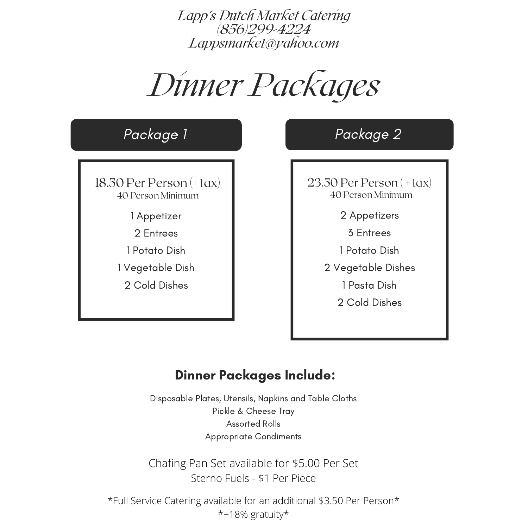# Dinner Packages

| Package 1                        | Package 2                         |
|----------------------------------|-----------------------------------|
| 18.50 Per Person $(+$ tax)       | $23.50$ Per Person (+tax)         |
| 40 Person Minimum<br>1 Appetizer | 40 Person Minimum<br>2 Appetizers |
| 2 Entrees                        | 3 Entrees                         |
| 1 Potato Dish                    | 1 Potato Dish                     |
| 1 Vegetable Dish                 | 2 Vegetable Dishes                |
| 2 Cold Dishes                    | 1 Pasta Dish                      |
|                                  | 2 Cold Dishes                     |

# Dinner Packages Include:

Disposable Plates, Utensils, Napkins and Table Cloths Pickle & Cheese Tray Assorted Rolls Appropriate Condiments

Chafing Pan Set available for \$5.00 Per Set Sterno Fuels - \$1 Per Piece

\*Full Service Catering available for an additional \$3.50 Per Person\* \*+18% gratuity\*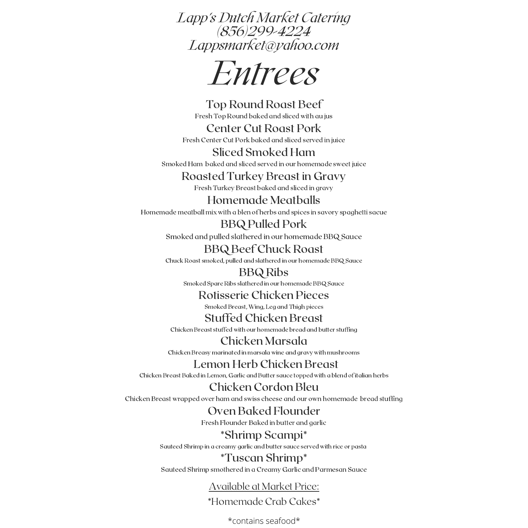

Top Round Roast Beef Fresh Top Round baked and sliced with au jus

Center Cut Roast Pork Fresh Center Cut Pork baked and sliced served in juice

Sliced Smoked Ham Smoked Ham baked and sliced served in our homemade sweet juice

#### Roasted Turkey Breast in Gravy

Fresh Turkey Breast baked and sliced in gravy

Homemade Meatballs Homemade meatball mix with a blen of herbs and spices in savory spaghetti sacue

> BBQ Pulled Pork Smoked and pulled slathered in our homemade BBQ Sauce

BBQ Beef Chuck Roast

Chuck Roast smoked, pulled and slathered in our homemade BBQ Sauce

BBQ Ribs Smoked Spare Ribs slathered in our homemade BBQ Sauce

### Rotisserie Chicken Pieces

Smoked Breast, Wing, Leg and Thigh pieces

#### Stuffed Chicken Breast

Chicken Breast stuffed with our homemade bread and butter stuffing

Chicken Marsala Chicken Breasy marinated in marsala wine and gravy with mushrooms

### Lemon Herb Chicken Breast

Chicken Breast Baked in Lemon, Garlic and Butter sauce topped with a blend of italian herbs

### Chicken Cordon Bleu

Chicken Breast wrapped over ham and swiss cheese and our own homemade bread stuffing

## Oven Baked Flounder

Fresh Flounder Baked in butter and garlic

## \*Shrimp Scampi\*

Sauteed Shrimp in a creamy garlic and butter sauce served with rice or pasta

#### \*Tuscan Shrimp\*

Sauteed Shrimp smothered in a Creamy Garlic and Parmesan Sauce

## Available at Market Price:

\*Homemade Crab Cakes\*

#### \*contains seafood\*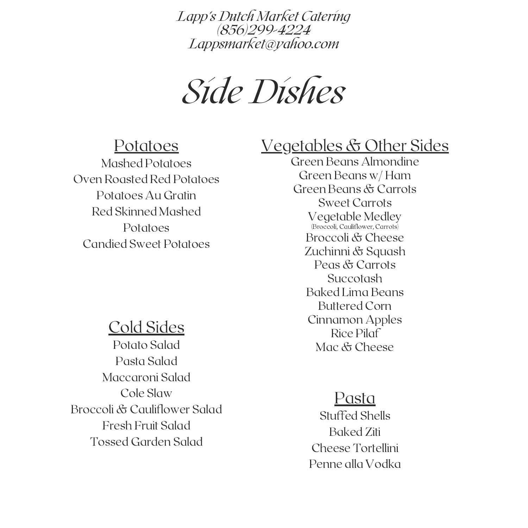Side Dishes

# Potatoes

Mashed Potatoes Oven Roasted Red Potatoes Potatoes Au Gratin Red Skinned Mashed Potatoes Candied Sweet Potatoes

# Cold Sides

Potato Salad Pasta Salad Maccaroni Salad Cole Slaw Broccoli & Cauliflower Salad Fresh Fruit Salad Tossed Garden Salad

# Vegetables & Other Sides

Green Beans Almondine Green Beans w/ Ham Green Beans & Carrots Sweet Carrots Vegetable Medley (Broccoli, Cauliflower, Carrots) Broccoli & Cheese Zuchinni & Squash Peas & Carrots Succotash Baked Lima Beans Buttered Corn Cinnamon Apples Rice Pilaf Mac & Cheese

## Pasta

Stuffed Shells Baked Ziti Cheese Tortellini Penne alla Vodka